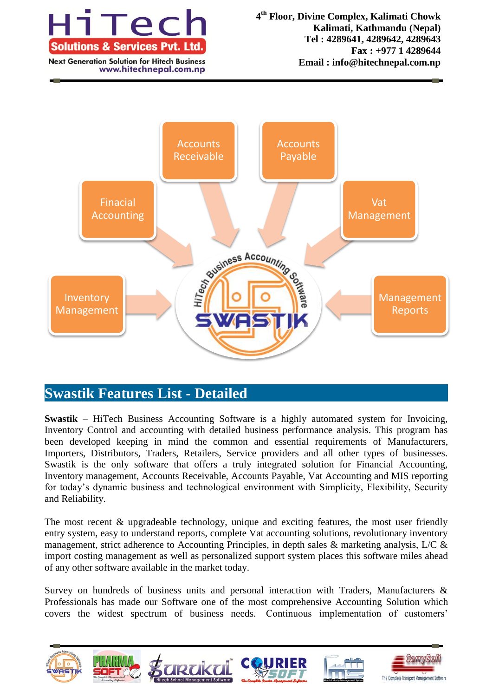

www.hitechnepal.com.np



# **Swastik Features List - Detailed**

**Swastik** – HiTech Business Accounting Software is a highly automated system for Invoicing, Inventory Control and accounting with detailed business performance analysis. This program has been developed keeping in mind the common and essential requirements of Manufacturers, Importers, Distributors, Traders, Retailers, Service providers and all other types of businesses. Swastik is the only software that offers a truly integrated solution for Financial Accounting, Inventory management, Accounts Receivable, Accounts Payable, Vat Accounting and MIS reporting for today's dynamic business and technological environment with Simplicity, Flexibility, Security and Reliability.

The most recent & upgradeable technology, unique and exciting features, the most user friendly entry system, easy to understand reports, complete Vat accounting solutions, revolutionary inventory management, strict adherence to Accounting Principles, in depth sales & marketing analysis, L/C & import costing management as well as personalized support system places this software miles ahead of any other software available in the market today.

Survey on hundreds of business units and personal interaction with Traders, Manufacturers & Professionals has made our Software one of the most comprehensive Accounting Solution which covers the widest spectrum of business needs. Continuous implementation of customers'

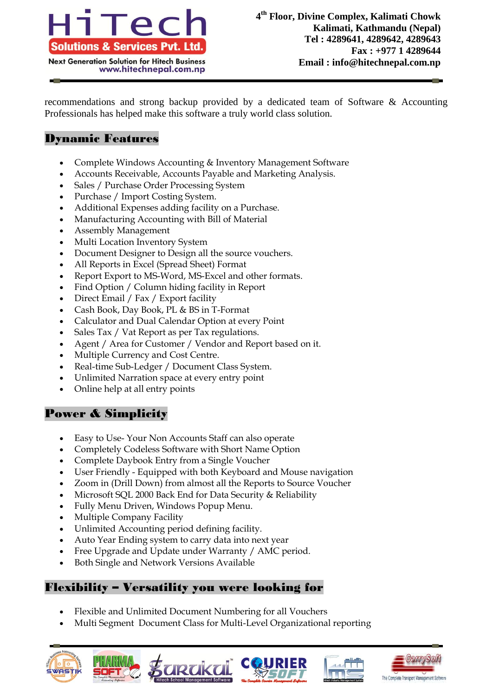

recommendations and strong backup provided by a dedicated team of Software & Accounting Professionals has helped make this software a truly world class solution.

# Dynamic Features

- Complete Windows Accounting & Inventory Management Software
- Accounts Receivable, Accounts Payable and Marketing Analysis.
- Sales / Purchase Order Processing System
- Purchase / Import Costing System.
- Additional Expenses adding facility on a Purchase.
- Manufacturing Accounting with Bill of Material
- Assembly Management
- Multi Location Inventory System
- Document Designer to Design all the source vouchers.
- All Reports in Excel (Spread Sheet) Format
- Report Export to MS-Word, MS-Excel and other formats.
- Find Option / Column hiding facility in Report
- Direct Email / Fax / Export facility
- Cash Book, Day Book, PL & BS in T-Format
- Calculator and Dual Calendar Option at every Point
- Sales Tax / Vat Report as per Tax regulations.
- Agent / Area for Customer / Vendor and Report based on it.
- Multiple Currency and Cost Centre.
- Real-time Sub-Ledger / Document Class System.
- Unlimited Narration space at every entry point
- Online help at all entry points

# Power & Simplicity

- Easy to Use- Your Non Accounts Staff can also operate
- Completely Codeless Software with Short Name Option
- Complete Daybook Entry from a Single Voucher
- User Friendly Equipped with both Keyboard and Mouse navigation
- Zoom in (Drill Down) from almost all the Reports to Source Voucher
- Microsoft SQL 2000 Back End for Data Security & Reliability
- Fully Menu Driven, Windows Popup Menu.
- Multiple Company Facility
- Unlimited Accounting period defining facility.
- Auto Year Ending system to carry data into next year
- Free Upgrade and Update under Warranty / AMC period.
- Both Single and Network Versions Available

## Flexibility – Versatility you were looking for

- Flexible and Unlimited Document Numbering for all Vouchers
- Multi Segment Document Class for Multi-Level Organizational reporting









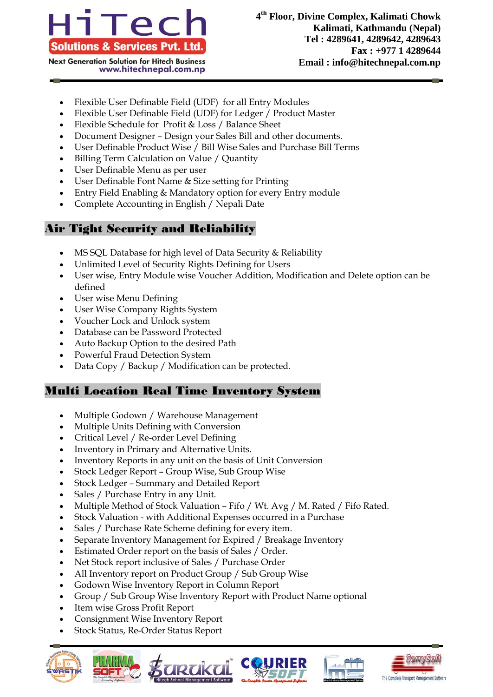

- **Next Generation Solution for Hitech Business** www.hitechnepal.com.np
	- Flexible User Definable Field (UDF) for all Entry Modules
	- Flexible User Definable Field (UDF) for Ledger / Product Master
	- Flexible Schedule for Profit & Loss / Balance Sheet
	- Document Designer Design your Sales Bill and other documents.
	- User Definable Product Wise / Bill Wise Sales and Purchase Bill Terms
	- Billing Term Calculation on Value / Quantity
	- User Definable Menu as per user
	- User Definable Font Name & Size setting for Printing
	- Entry Field Enabling & Mandatory option for every Entry module
	- Complete Accounting in English / Nepali Date

# Air Tight Security and Reliability

- MS SQL Database for high level of Data Security & Reliability
- Unlimited Level of Security Rights Defining for Users
- User wise, Entry Module wise Voucher Addition, Modification and Delete option can be defined
- User wise Menu Defining
- User Wise Company Rights System
- Voucher Lock and Unlock system
- Database can be Password Protected
- Auto Backup Option to the desired Path
- Powerful Fraud Detection System
- Data Copy / Backup / Modification can be protected.

## Multi Location Real Time Inventory System

- Multiple Godown / Warehouse Management
- Multiple Units Defining with Conversion
- Critical Level / Re-order Level Defining
- Inventory in Primary and Alternative Units.
- Inventory Reports in any unit on the basis of Unit Conversion
- Stock Ledger Report Group Wise, Sub Group Wise
- Stock Ledger Summary and Detailed Report
- Sales / Purchase Entry in any Unit.
- Multiple Method of Stock Valuation Fifo / Wt. Avg / M. Rated / Fifo Rated.
- Stock Valuation with Additional Expenses occurred in a Purchase
- Sales / Purchase Rate Scheme defining for every item.
- Separate Inventory Management for Expired / Breakage Inventory
- Estimated Order report on the basis of Sales / Order.
- Net Stock report inclusive of Sales / Purchase Order
- All Inventory report on Product Group / Sub Group Wise
- Godown Wise Inventory Report in Column Report
- Group / Sub Group Wise Inventory Report with Product Name optional
- Item wise Gross Profit Report
- Consignment Wise Inventory Report
- Stock Status, Re-Order Status Report









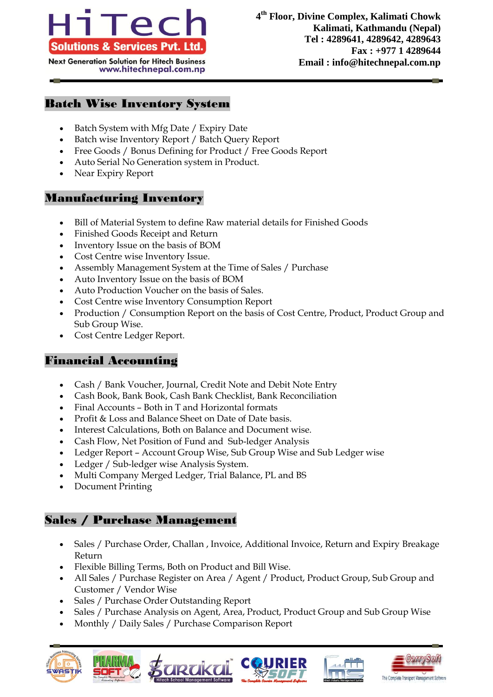

**Next Generation Solution for Hitech Business** www.hitechnepal.com.np

#### Batch Wise Inventory System

- Batch System with Mfg Date / Expiry Date
- Batch wise Inventory Report / Batch Query Report
- Free Goods / Bonus Defining for Product / Free Goods Report
- Auto Serial No Generation system in Product.
- Near Expiry Report

#### Manufacturing Inventory

- Bill of Material System to define Raw material details for Finished Goods
- Finished Goods Receipt and Return
- Inventory Issue on the basis of BOM
- Cost Centre wise Inventory Issue.
- Assembly Management System at the Time of Sales / Purchase
- Auto Inventory Issue on the basis of BOM
- Auto Production Voucher on the basis of Sales.
- Cost Centre wise Inventory Consumption Report
- Production / Consumption Report on the basis of Cost Centre, Product, Product Group and Sub Group Wise.
- Cost Centre Ledger Report.

#### Financial Accounting

- Cash / Bank Voucher, Journal, Credit Note and Debit Note Entry
- Cash Book, Bank Book, Cash Bank Checklist, Bank Reconciliation
- Final Accounts Both in T and Horizontal formats
- Profit & Loss and Balance Sheet on Date of Date basis.
- Interest Calculations, Both on Balance and Document wise.
- Cash Flow, Net Position of Fund and Sub-ledger Analysis
- Ledger Report Account Group Wise, Sub Group Wise and Sub Ledger wise
- Ledger / Sub-ledger wise Analysis System.
- Multi Company Merged Ledger, Trial Balance, PL and BS
- Document Printing

#### Sales / Purchase Management

- Sales / Purchase Order, Challan , Invoice, Additional Invoice, Return and Expiry Breakage Return
- Flexible Billing Terms, Both on Product and Bill Wise.
- All Sales / Purchase Register on Area / Agent / Product, Product Group, Sub Group and Customer / Vendor Wise
- Sales / Purchase Order Outstanding Report
- Sales / Purchase Analysis on Agent, Area, Product, Product Group and Sub Group Wise
- Monthly / Daily Sales / Purchase Comparison Report









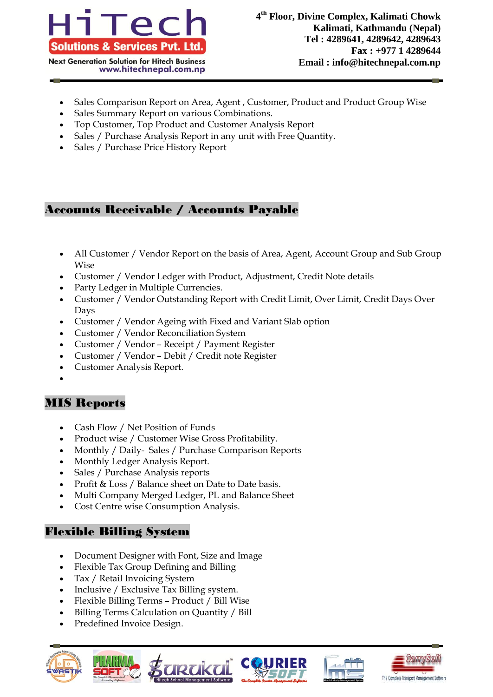

- Sales Comparison Report on Area, Agent , Customer, Product and Product Group Wise
- Sales Summary Report on various Combinations.
- Top Customer, Top Product and Customer Analysis Report
- Sales / Purchase Analysis Report in any unit with Free Quantity.
- Sales / Purchase Price History Report

### Accounts Receivable / Accounts Payable

- All Customer / Vendor Report on the basis of Area, Agent, Account Group and Sub Group Wise
- Customer / Vendor Ledger with Product, Adjustment, Credit Note details
- Party Ledger in Multiple Currencies.
- Customer / Vendor Outstanding Report with Credit Limit, Over Limit, Credit Days Over Days
- Customer / Vendor Ageing with Fixed and Variant Slab option
- Customer / Vendor Reconciliation System
- Customer / Vendor Receipt / Payment Register
- Customer / Vendor Debit / Credit note Register
- Customer Analysis Report.
- $\bullet$

## MIS Reports

- Cash Flow / Net Position of Funds
- Product wise / Customer Wise Gross Profitability.
- Monthly / Daily- Sales / Purchase Comparison Reports
- Monthly Ledger Analysis Report.
- Sales / Purchase Analysis reports
- Profit & Loss / Balance sheet on Date to Date basis.
- Multi Company Merged Ledger, PL and Balance Sheet
- Cost Centre wise Consumption Analysis.

#### Flexible Billing System

- Document Designer with Font, Size and Image
- Flexible Tax Group Defining and Billing
- Tax / Retail Invoicing System
- Inclusive / Exclusive Tax Billing system.
- Flexible Billing Terms Product / Bill Wise
- Billing Terms Calculation on Quantity / Bill
- Predefined Invoice Design.









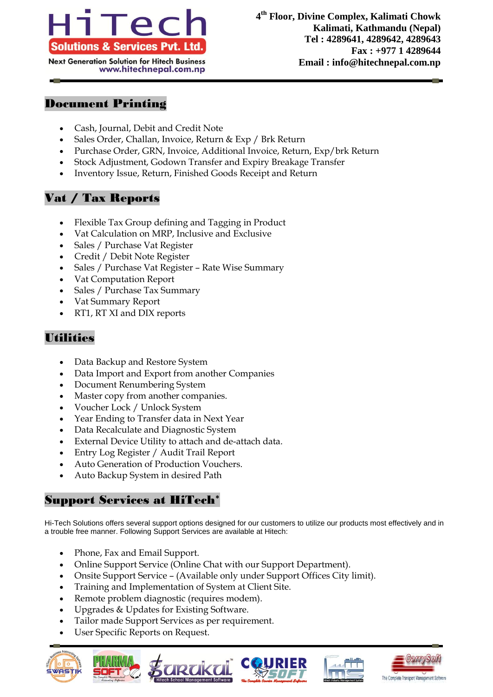

#### **Next Generation Solution for Hitech Business** www.hitechnepal.com.np

#### Document Printing

- Cash, Journal, Debit and Credit Note
- Sales Order, Challan, Invoice, Return & Exp / Brk Return
- Purchase Order, GRN, Invoice, Additional Invoice, Return, Exp/brk Return
- Stock Adjustment, Godown Transfer and Expiry Breakage Transfer
- Inventory Issue, Return, Finished Goods Receipt and Return

# Vat / Tax Reports

- Flexible Tax Group defining and Tagging in Product
- Vat Calculation on MRP, Inclusive and Exclusive
- Sales / Purchase Vat Register
- Credit / Debit Note Register
- Sales / Purchase Vat Register Rate Wise Summary
- Vat Computation Report
- Sales / Purchase Tax Summary
- Vat Summary Report
- RT1, RT XI and DIX reports

# **Utilities**

- Data Backup and Restore System
- Data Import and Export from another Companies
- Document Renumbering System
- Master copy from another companies.
- Voucher Lock / Unlock System
- Year Ending to Transfer data in Next Year
- Data Recalculate and Diagnostic System
- External Device Utility to attach and de-attach data.
- Entry Log Register / Audit Trail Report
- Auto Generation of Production Vouchers.
- Auto Backup System in desired Path

# Support Services at HiTech\*

Hi-Tech Solutions offers several support options designed for our customers to utilize our products most effectively and in a trouble free manner. Following Support Services are available at Hitech:

- Phone, Fax and Email Support.
- Online Support Service (Online Chat with our Support Department).
- Onsite Support Service (Available only under Support Offices City limit).
- Training and Implementation of System at Client Site.
- Remote problem diagnostic (requires modem).
- Upgrades & Updates for Existing Software.
- Tailor made Support Services as per requirement.
- User Specific Reports on Request.